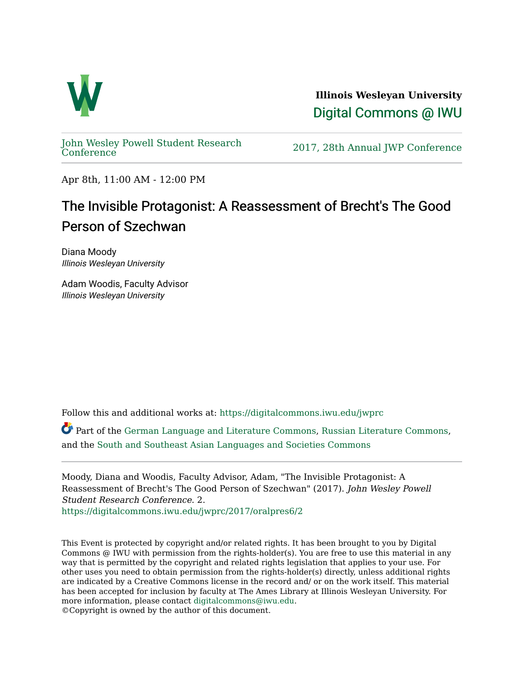

**Illinois Wesleyan University**  [Digital Commons @ IWU](https://digitalcommons.iwu.edu/) 

[John Wesley Powell Student Research](https://digitalcommons.iwu.edu/jwprc) 

2017, 28th Annual JWP [Conference](https://digitalcommons.iwu.edu/jwprc)

Apr 8th, 11:00 AM - 12:00 PM

## The Invisible Protagonist: A Reassessment of Brecht's The Good Person of Szechwan

Diana Moody Illinois Wesleyan University

Adam Woodis, Faculty Advisor Illinois Wesleyan University

Follow this and additional works at: [https://digitalcommons.iwu.edu/jwprc](https://digitalcommons.iwu.edu/jwprc?utm_source=digitalcommons.iwu.edu%2Fjwprc%2F2017%2Foralpres6%2F2&utm_medium=PDF&utm_campaign=PDFCoverPages) 

Part of the [German Language and Literature Commons,](http://network.bepress.com/hgg/discipline/467?utm_source=digitalcommons.iwu.edu%2Fjwprc%2F2017%2Foralpres6%2F2&utm_medium=PDF&utm_campaign=PDFCoverPages) [Russian Literature Commons,](http://network.bepress.com/hgg/discipline/1317?utm_source=digitalcommons.iwu.edu%2Fjwprc%2F2017%2Foralpres6%2F2&utm_medium=PDF&utm_campaign=PDFCoverPages) and the [South and Southeast Asian Languages and Societies Commons](http://network.bepress.com/hgg/discipline/487?utm_source=digitalcommons.iwu.edu%2Fjwprc%2F2017%2Foralpres6%2F2&utm_medium=PDF&utm_campaign=PDFCoverPages)

Moody, Diana and Woodis, Faculty Advisor, Adam, "The Invisible Protagonist: A Reassessment of Brecht's The Good Person of Szechwan" (2017). John Wesley Powell Student Research Conference. 2. [https://digitalcommons.iwu.edu/jwprc/2017/oralpres6/2](https://digitalcommons.iwu.edu/jwprc/2017/oralpres6/2?utm_source=digitalcommons.iwu.edu%2Fjwprc%2F2017%2Foralpres6%2F2&utm_medium=PDF&utm_campaign=PDFCoverPages)

This Event is protected by copyright and/or related rights. It has been brought to you by Digital Commons @ IWU with permission from the rights-holder(s). You are free to use this material in any way that is permitted by the copyright and related rights legislation that applies to your use. For other uses you need to obtain permission from the rights-holder(s) directly, unless additional rights are indicated by a Creative Commons license in the record and/ or on the work itself. This material has been accepted for inclusion by faculty at The Ames Library at Illinois Wesleyan University. For more information, please contact [digitalcommons@iwu.edu](mailto:digitalcommons@iwu.edu). ©Copyright is owned by the author of this document.